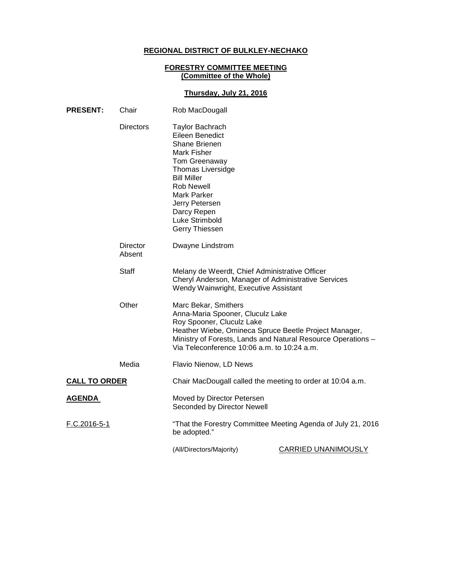# **REGIONAL DISTRICT OF BULKLEY-NECHAKO**

### **FORESTRY COMMITTEE MEETING (Committee of the Whole)**

# **Thursday, July 21, 2016**

| <b>PRESENT:</b>      | Chair              | Rob MacDougall                                                                                                                                                                                                                                                      |                                                              |
|----------------------|--------------------|---------------------------------------------------------------------------------------------------------------------------------------------------------------------------------------------------------------------------------------------------------------------|--------------------------------------------------------------|
|                      | <b>Directors</b>   | <b>Taylor Bachrach</b><br>Eileen Benedict<br>Shane Brienen<br><b>Mark Fisher</b><br>Tom Greenaway<br><b>Thomas Liversidge</b><br><b>Bill Miller</b><br><b>Rob Newell</b><br><b>Mark Parker</b><br>Jerry Petersen<br>Darcy Repen<br>Luke Strimbold<br>Gerry Thiessen |                                                              |
|                      | Director<br>Absent | Dwayne Lindstrom                                                                                                                                                                                                                                                    |                                                              |
|                      | <b>Staff</b>       | Melany de Weerdt, Chief Administrative Officer<br>Cheryl Anderson, Manager of Administrative Services<br>Wendy Wainwright, Executive Assistant                                                                                                                      |                                                              |
|                      | Other              | Marc Bekar, Smithers<br>Anna-Maria Spooner, Cluculz Lake<br>Roy Spooner, Cluculz Lake<br>Heather Wiebe, Omineca Spruce Beetle Project Manager,<br>Ministry of Forests, Lands and Natural Resource Operations -<br>Via Teleconference 10:06 a.m. to 10:24 a.m.       |                                                              |
|                      | Media              | Flavio Nienow, LD News                                                                                                                                                                                                                                              |                                                              |
| <b>CALL TO ORDER</b> |                    | Chair MacDougall called the meeting to order at 10:04 a.m.                                                                                                                                                                                                          |                                                              |
| <b>AGENDA</b>        |                    | Moved by Director Petersen<br>Seconded by Director Newell                                                                                                                                                                                                           |                                                              |
| F.C.2016-5-1         |                    | be adopted."                                                                                                                                                                                                                                                        | "That the Forestry Committee Meeting Agenda of July 21, 2016 |
|                      |                    | (All/Directors/Majority)                                                                                                                                                                                                                                            | CARRIED UNANIMOUSLY                                          |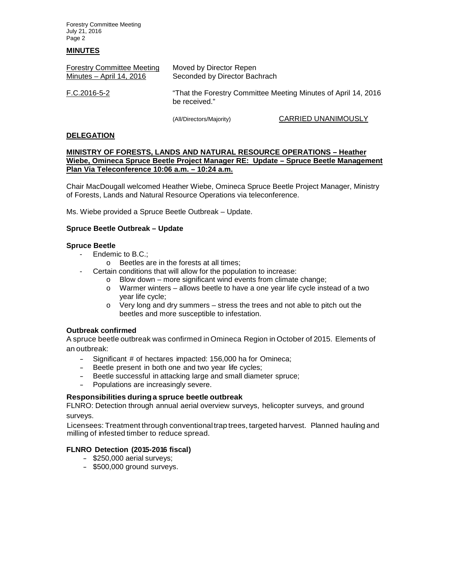Forestry Committee Meeting July 21, 2016 Page 2

### **MINUTES**

| <b>Forestry Committee Meeting</b><br>Minutes $-$ April 14, 2016 | Moved by Director Repen<br>Seconded by Director Bachrach<br>"That the Forestry Committee Meeting Minutes of April 14, 2016<br>be received." |                            |
|-----------------------------------------------------------------|---------------------------------------------------------------------------------------------------------------------------------------------|----------------------------|
| F.C.2016-5-2                                                    |                                                                                                                                             |                            |
|                                                                 | (All/Directors/Majority)                                                                                                                    | <b>CARRIED UNANIMOUSLY</b> |

**DELEGATION**

### **MINISTRY OF FORESTS, LANDS AND NATURAL RESOURCE OPERATIONS – Heather Wiebe, Omineca Spruce Beetle Project Manager RE: Update – Spruce Beetle Management Plan Via Teleconference 10:06 a.m. – 10:24 a.m.**

Chair MacDougall welcomed Heather Wiebe, Omineca Spruce Beetle Project Manager, Ministry of Forests, Lands and Natural Resource Operations via teleconference.

Ms. Wiebe provided a Spruce Beetle Outbreak – Update.

### **Spruce Beetle Outbreak – Update**

### **Spruce Beetle**

- Endemic to B.C.;
	- o Beetles are in the forests at all times;
	- Certain conditions that will allow for the population to increase:
		- o Blow down more significant wind events from climate change;
			- o Warmer winters allows beetle to have a one year life cycle instead of a two year life cycle;
			- $\circ$  Very long and dry summers stress the trees and not able to pitch out the beetles and more susceptible to infestation.

### **Outbreak confirmed**

A spruce beetle outbreak was confirmed in Omineca Region in October of 2015. Elements of an outbreak:

- Significant # of hectares impacted: 156,000 ha for Omineca;
- Beetle present in both one and two year life cycles;<br>- Beetle successful in attacking large and small diame
- Beetle successful in attacking large and small diameter spruce;<br>- Populations are increasingly severe
- Populations are increasingly severe.

### **Responsibilities duringa spruce beetle outbreak**

FLNRO: Detection through annual aerial overview surveys, helicopter surveys, and ground surveys.

Licensees: Treatment through conventionaltrap trees, targeted harvest. Planned hauling and milling of infested timber to reduce spread.

### **FLNRO Detection (2015-2016 fiscal)**

- \$250,000 aerial surveys;
- \$500,000 ground surveys.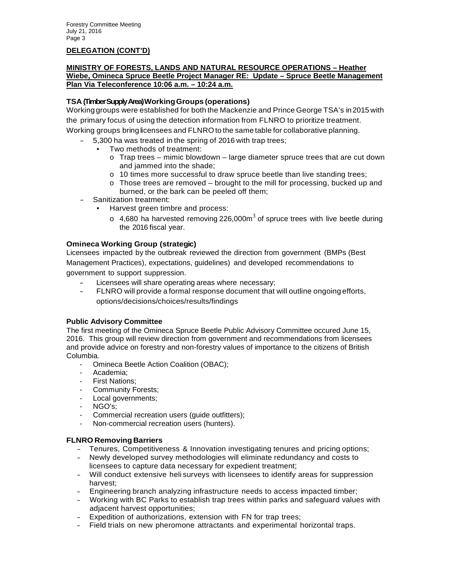# **DELEGATION (CONT'D)**

### **MINISTRY OF FORESTS, LANDS AND NATURAL RESOURCE OPERATIONS – Heather Wiebe, Omineca Spruce Beetle Project Manager RE: Update – Spruce Beetle Management Plan Via Teleconference 10:06 a.m. – 10:24 a.m.**

# **TSA (Timber Supply Area) WorkingGroups (operations)**

Workinggroups were established for both the Mackenzie and Prince George TSA's in2015 with the primary focus of using the detection information from FLNRO to prioritize treatment. Working groups bring licensees and FLNRO to the same table for collaborative planning.

- 5,300 ha was treated in the spring of 2016 with trap trees;
	- Two methods of treatment:
		- $\circ$  Trap trees mimic blowdown large diameter spruce trees that are cut down and jammed into the shade;
		- o 10 times more successful to draw spruce beetle than live standing trees;
		- $\circ$  Those trees are removed brought to the mill for processing, bucked up and burned, or the bark can be peeled off them;
- Sanitization treatment:
	- Harvest green timbre and process:
		- $\circ$  4,680 ha harvested removing 226,000m<sup>3</sup> of spruce trees with live beetle during the 2016 fiscal year.

# **Omineca Working Group (strategic)**

Licensees impacted by the outbreak reviewed the direction from government (BMPs (Best Management Practices), expectations, guidelines) and developed recommendations to government to support suppression.

- Licensees will share operating areas where necessary;
- FLNRO will provide a formal response document that will outline ongoing efforts, options/decisions/choices/results/findings

# **Public Advisory Committee**

The first meeting of the Omineca Spruce Beetle Public Advisory Committee occured June 15, 2016. This group will review direction from government and recommendations from licensees and provide advice on forestry and non-forestry values of importance to the citizens of British Columbia.

- Omineca Beetle Action Coalition (OBAC);
- Academia;
- First Nations;
- Community Forests;
- Local governments;
- NGO's;
- Commercial recreation users (guide outfitters);
- Non-commercial recreation users (hunters).

# **FLNRO Removing Barriers**

- Tenures, Competitiveness & Innovation investigating tenures and pricing options;
- Newly developed survey methodologies will eliminate redundancy and costs to licensees to capture data necessary for expedient treatment;
- Will conduct extensive heli surveys with licensees to identify areas for suppression harvest;
- Engineering branch analyzing infrastructure needs to access impacted timber;
- Working with BC Parks to establish trap trees within parks and safeguard values with adjacent harvest opportunities;
- Expedition of authorizations, extension with FN for trap trees;
- Field trials on new pheromone attractants and experimental horizontal traps.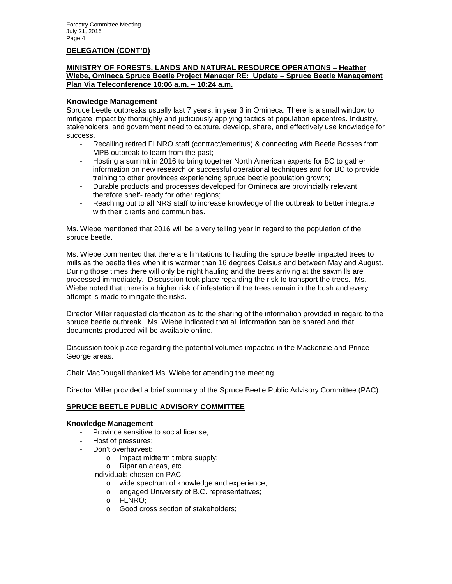### **DELEGATION (CONT'D)**

### **MINISTRY OF FORESTS, LANDS AND NATURAL RESOURCE OPERATIONS – Heather Wiebe, Omineca Spruce Beetle Project Manager RE: Update – Spruce Beetle Management Plan Via Teleconference 10:06 a.m. – 10:24 a.m.**

### **Knowledge Management**

Spruce beetle outbreaks usually last 7 years; in year 3 in Omineca. There is a small window to mitigate impact by thoroughly and judiciously applying tactics at population epicentres. Industry, stakeholders, and government need to capture, develop, share, and effectively use knowledge for success.

- Recalling retired FLNRO staff (contract/emeritus) & connecting with Beetle Bosses from MPB outbreak to learn from the past;
- Hosting a summit in 2016 to bring together North American experts for BC to gather information on new research or successful operational techniques and for BC to provide training to other provinces experiencing spruce beetle population growth;
- Durable products and processes developed for Omineca are provincially relevant therefore shelf- ready for other regions;
- Reaching out to all NRS staff to increase knowledge of the outbreak to better integrate with their clients and communities.

Ms. Wiebe mentioned that 2016 will be a very telling year in regard to the population of the spruce beetle.

Ms. Wiebe commented that there are limitations to hauling the spruce beetle impacted trees to mills as the beetle flies when it is warmer than 16 degrees Celsius and between May and August. During those times there will only be night hauling and the trees arriving at the sawmills are processed immediately. Discussion took place regarding the risk to transport the trees. Ms. Wiebe noted that there is a higher risk of infestation if the trees remain in the bush and every attempt is made to mitigate the risks.

Director Miller requested clarification as to the sharing of the information provided in regard to the spruce beetle outbreak. Ms. Wiebe indicated that all information can be shared and that documents produced will be available online.

Discussion took place regarding the potential volumes impacted in the Mackenzie and Prince George areas.

Chair MacDougall thanked Ms. Wiebe for attending the meeting.

Director Miller provided a brief summary of the Spruce Beetle Public Advisory Committee (PAC).

### **SPRUCE BEETLE PUBLIC ADVISORY COMMITTEE**

### **Knowledge Management**

- Province sensitive to social license;
- Host of pressures;
- Don't overharvest:
	- o impact midterm timbre supply;
	- o Riparian areas, etc.
- Individuals chosen on PAC:
	- o wide spectrum of knowledge and experience;
	- o engaged University of B.C. representatives;
	- o FLNRO;
	- o Good cross section of stakeholders;